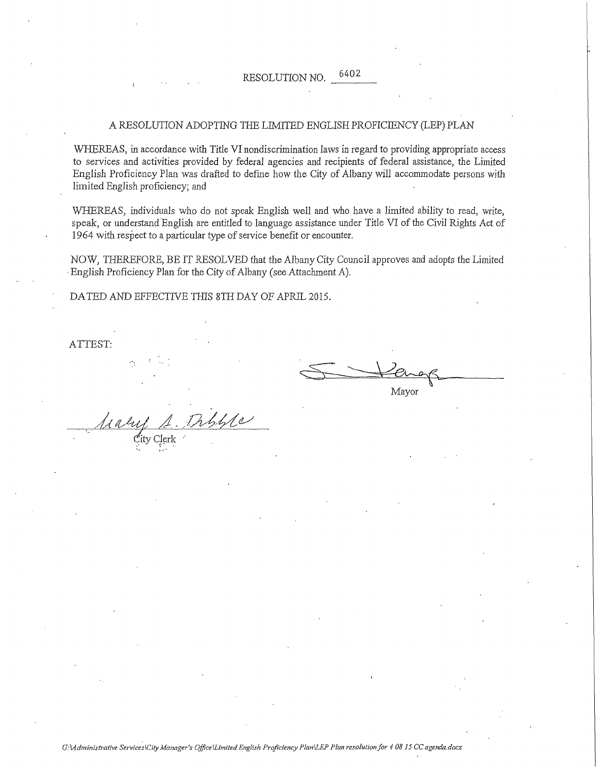#### A RESOLUTION ADOPTING THE LIMITED ENGLISH PROFICIENCY (LEP) PLAN

WHEREAS, in accordance with Title VI nondiscrimination laws in regard to providing appropriate access to services and activities provided by federal agencies and recipients of federal assistance, the Limited English Proficiency Plan was drafted to defme how the City of Albany will accommodate persons with limited English proficiency; and

WHEREAS, individuals who do not speak English well and who have a limited ability to read, write, speak, or understand English are entitled to language assistance under Title VI of the Civil Rights Act of 1964 with respect to a particular type of service benefit or encounter.

NOW, THEREFORE, BE IT RESOLVED that the Albany City Council approves and adopts the Limited ·English Proficiency Plan for the City of Albany (see Attachment A).

DATED AND EFFECTNE THIS 8TH DAY OF APRIL 2015.

ATTEST:

Frances

 $\mathbb{C}$ ity Clerk $\mathbb{C}$ 

*l····* 

 $G:$  *Administrative Services\City Manager's Office\Limited English Proficiency Plan\LEP Plan resolution for 4 08 15 CC agenda.docx*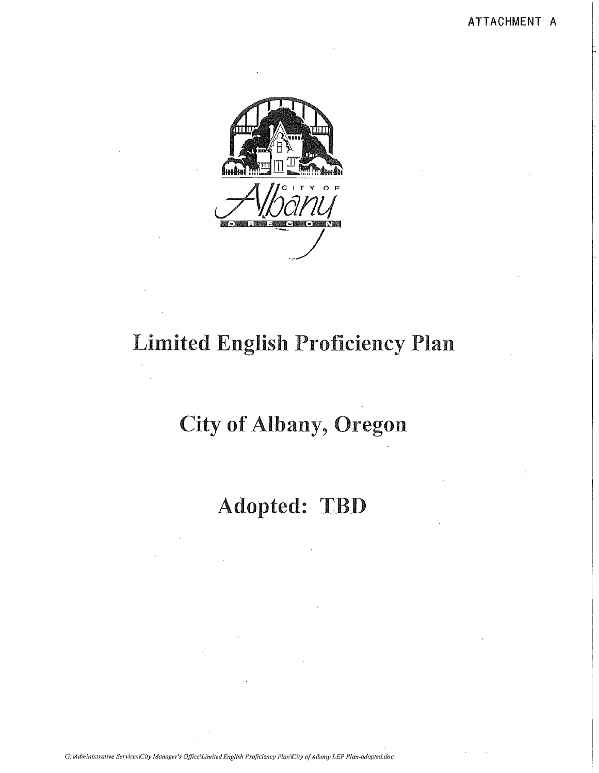

# **Limited English Proficiency Plan**

# **City of Albany, Oregon**

# Adopted: TBD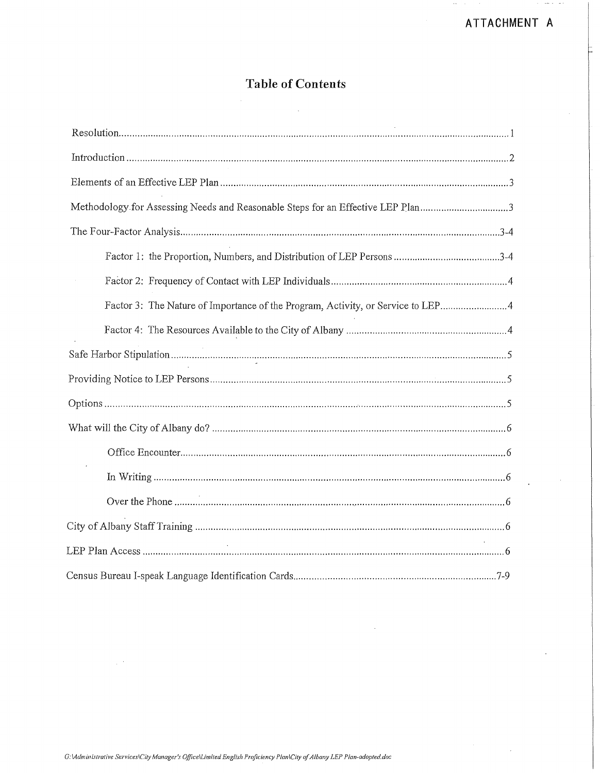### **Table of Contents**

| Methodology for Assessing Needs and Reasonable Steps for an Effective LEP Plan3 |
|---------------------------------------------------------------------------------|
|                                                                                 |
|                                                                                 |
|                                                                                 |
| Factor 3: The Nature of Importance of the Program, Activity, or Service to LEP4 |
|                                                                                 |
|                                                                                 |
|                                                                                 |
|                                                                                 |
|                                                                                 |
|                                                                                 |
|                                                                                 |
|                                                                                 |
|                                                                                 |
|                                                                                 |
|                                                                                 |

 $\sim$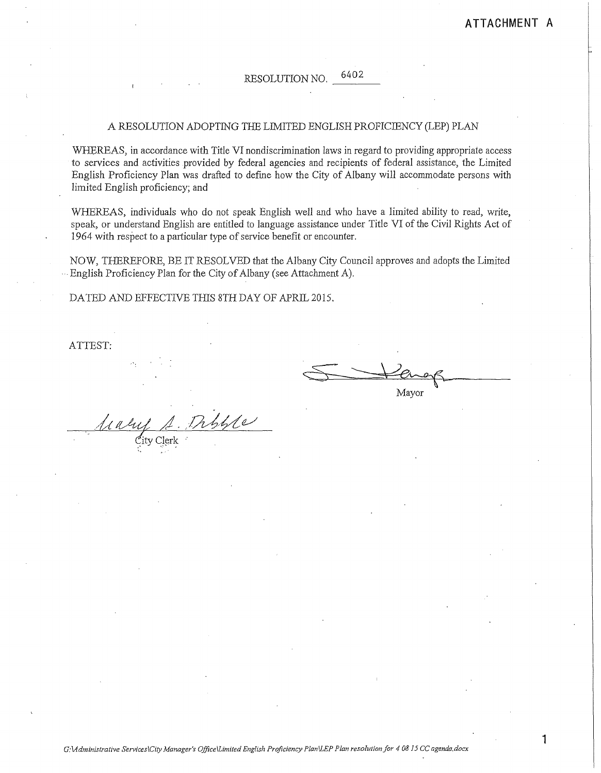#### RESOLUTION NO.  $\frac{02}{1}$

#### A RESOLUTION ADOPTING THE LIMITED ENGLISH PROFICIENCY (LEP) PLAN

WHEREAS, in accordance with Title VI nondiscrimination laws in regard to providing appropriate access to services and activities provided by federal agencies and recipients of federal assistance, the Limited English Proficiency Plan was drafted to defme how the City of Albany will accommodate persons with limited English proficiency; and

WHEREAS, individuals who do not speak English well and who have a limited ability to read, write, speak, or understand English are entitled to language assistance under Title VI of the Civil Rights Act of 1964 with respect to a particular type of service benefit or encounter.

NOW, THEREFORE, BE IT RESOLVED that the Albany City Council approves and adopts the Limited ···English Proficiency Plan for the City of Albany (see Attachment A).

DATED AND EFFECTIVE THIS 8TH DAY OF APRIL 2015.

ATTEST:

 $\frac{1}{\sqrt{M}}$ 

ity Clerk ·  $\mathbb{Z}$ ity Cierk $\mathbb{Z}$ 

**1**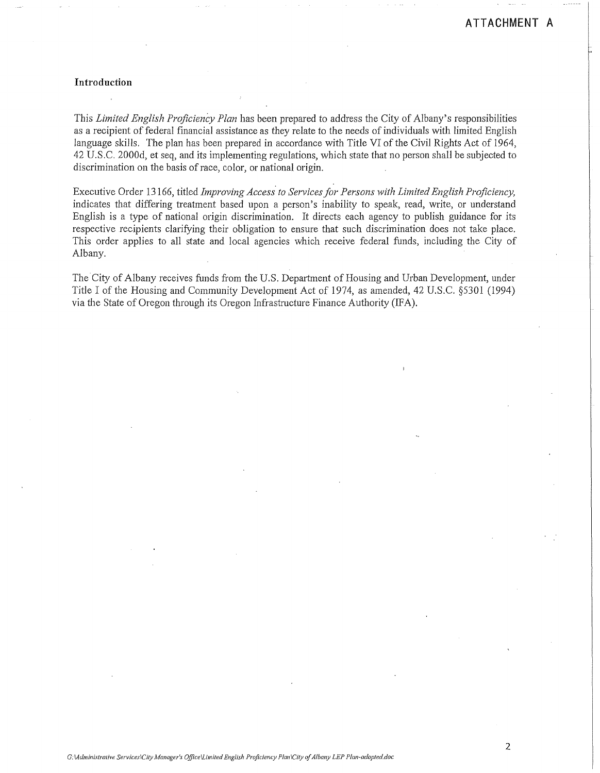#### **Introduction**

This *Limited English Proficiency Plan* has been prepared to address the City of Albany's responsibilities as a recipient of federal financial assistance as they relate to the needs of individuals with limited English language skills. The plan has been prepared in accordance with Title VI of the Civil Rights Act of 1964, 42 U.S.C. 2000d, et seq, and its implementing regulations, which state that no person shall be subjected to discrimination on the basis of race, color, or national origin.

Executive Order 13 166, titled *Improving Access. to Services for Persons with Limited English Proficiency,*  indicates that differing treatment based upon a person's inability to speak, read, write, or understand English is a type of national origin discrimination. It directs each agency to publish guidance for its respective recipients clarifYing their obligation to ensure that such discrimination does not take place. This order applies to all state and local agencies which receive federal funds, including the City of Albany.

The City of Albany receives funds from the U.S. Department of Housing and Urban Development, under Title I of the Housing and Community Development Act of 1974, as amended, 42 U.S.C. §5301 (1994) via the State of Oregon through its Oregon Infrastructure Finance Authority (IFA).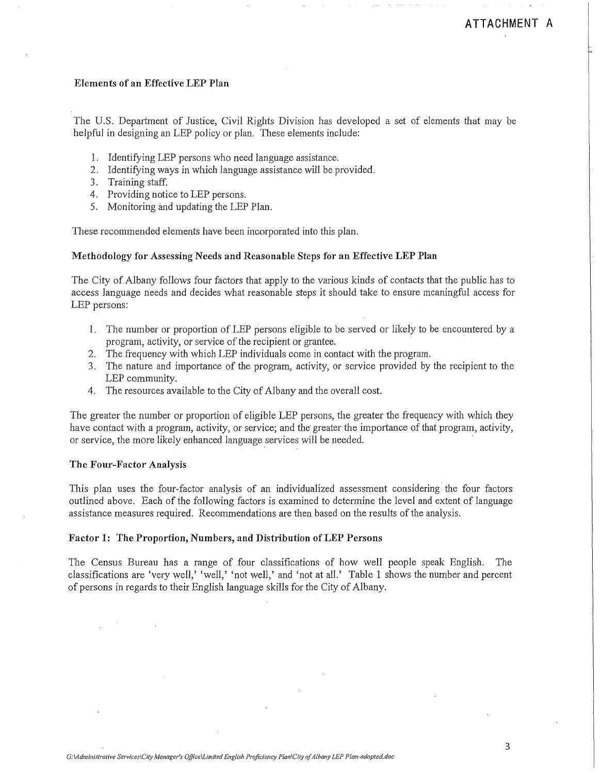#### **Elements of an Effective LEP Plan**

The U.S. Department of Justice, Civil Rights Division has developed a set of elements that may be helpful in designing an LEP policy or plan. These elements include:

- 1. Identifying LEP persons who need language assistance.
- 2. Identifying ways in which language assistance will be provided.
- 3. Training staff.
- 4. Providing notice to LEP persons.
- 5. Monitoring and updating the LEP Plan.

These recommended elements have been incorporated into this plan.

#### **Methodology for Assessing Needs and Reasonable Steps for an Effective LEP Plan**

The City of Albany follows four factors that apply to the various kinds of contacts that the public has to access language needs and decides what reasonable steps it should take to ensure meaningful access for LEP persons:

- 1. The number or proportion of LEP persons eligible to be served or likely to be encountered by a program, activity, or service of the recipient or grantee.
- 2. The frequency with which LEP individuals come in contact with the program.
- 3. The nature and importance of the program, activity, or service provided by the recipient to the LEP community.
- 4. The resources available to the City of Albany and the overall cost.

The greater the number or proportion of eligible LEP persons, the greater the frequency with which they have contact with a program, activity, or service; and the greater the importance of that program, activity, or service, the more likely enhanced language services will be needed.

#### **The Four-Factor Analysis**

This plan uses the four-factor analysis of an individualized assessment considering the four factors outlined above. Each of the following factors is examined to determine the level and extent of language assistance measures required. Recommendations are then based on the results of the analysis.

#### **Factor 1: The Proportion, Numbers, and Distribution ofLEP Persons**

The Census Bureau has a range of four classifications of how well people speak English. The classifications are 'very well,' 'well,' 'not well,' and 'not at all.' Table 1 shows the number and percent of persons in regards to their English language skills for the City of Albany.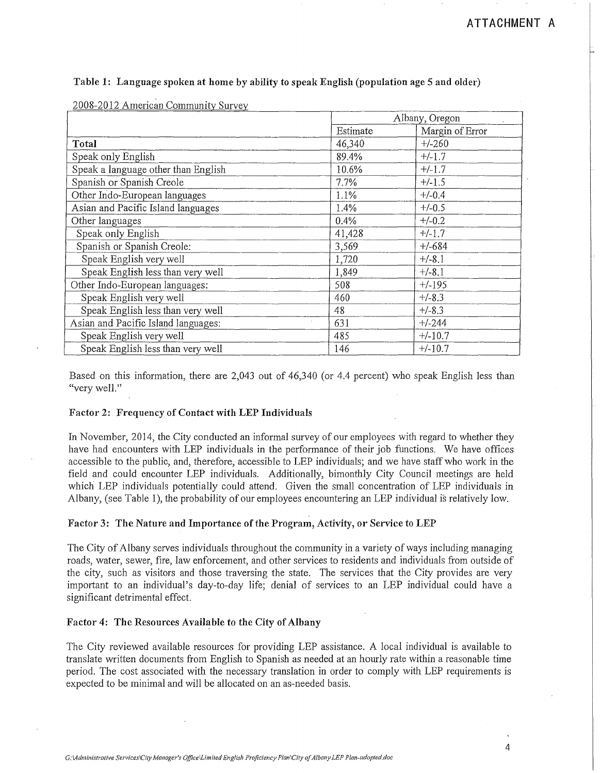| 2008-2012 American Community Survey |                 |  |  |  |  |
|-------------------------------------|-----------------|--|--|--|--|
|                                     | Albany, Oregon  |  |  |  |  |
| Estimate                            | Margin of Error |  |  |  |  |
| 46,340                              | $+/-260$        |  |  |  |  |
| 89.4%                               | $+/-1.7$        |  |  |  |  |
| 10.6%                               | $+/-1.7$        |  |  |  |  |
| 7.7%                                | $+/-1.5$        |  |  |  |  |
| 1.1%                                | $+/-0.4$        |  |  |  |  |
| 1.4%                                | $+/-0.5$        |  |  |  |  |
| 0.4%                                | $+/-0.2$        |  |  |  |  |
| 41,428                              | $+/-1.7$        |  |  |  |  |
| 3,569                               | $+/-684$        |  |  |  |  |
| 1,720                               | $+/-8.1$        |  |  |  |  |
| 1,849                               | $+/-8.1$        |  |  |  |  |
| 508                                 | $+/-195$        |  |  |  |  |
| 460                                 | $+/-8.3$        |  |  |  |  |
| 48                                  | $+/-8.3$        |  |  |  |  |
| 631                                 | $+/-244$        |  |  |  |  |
| 485                                 | $+/-10.7$       |  |  |  |  |
| 146                                 | $+/-10.7$       |  |  |  |  |
|                                     |                 |  |  |  |  |

#### Table 1: Language spoken at home by ability to speak English (population age 5 and older)

Based on this information, there are 2,043 out of 46,340 (or 4.4 percent) who speak English less than "very well."

#### Factor 2: Frequency of Contact with LEP Individuals

In November, 2014, the City conducted an informal survey of our employees with regard to whether they have had encounters with LEP individuals in the performance of their job functions. We have offices accessible to the public, and, therefore, accessible to LEP individuals; and we have staff who work in the field and could encounter LEP individuals. Additionally, bimonthly City Council meetings are held which LEP individuals potentially could attend. Given the small concentration of LEP individuals in Albany, (see Table 1), the probability of our employees encountering an LEP individual is relatively low.

#### Factor 3: The Nature and Importance of the Program, Activity, or Service to LEP

The City of Albany serves individuals throughout the community in a variety of ways including managing roads, water, sewer, fire, law enforcement, and other services to residents and individuals from outside of the city, such as visitors and those traversing the state. The services that the City provides are very important to an individual's day-to-day life; denial of services to an LEP individual could have a significant detrimental effect.

#### Factor 4: The Resources Available to the City of Albany

The City reviewed available resources for providing LEP assistance. A local individual is available to translate written documents from English to Spanish as needed at an hourly rate within a reasonable time period. The cost associated with the necessary translation in order to comply with LEP requirements is expected to be minimal and will be allocated on an as-needed basis.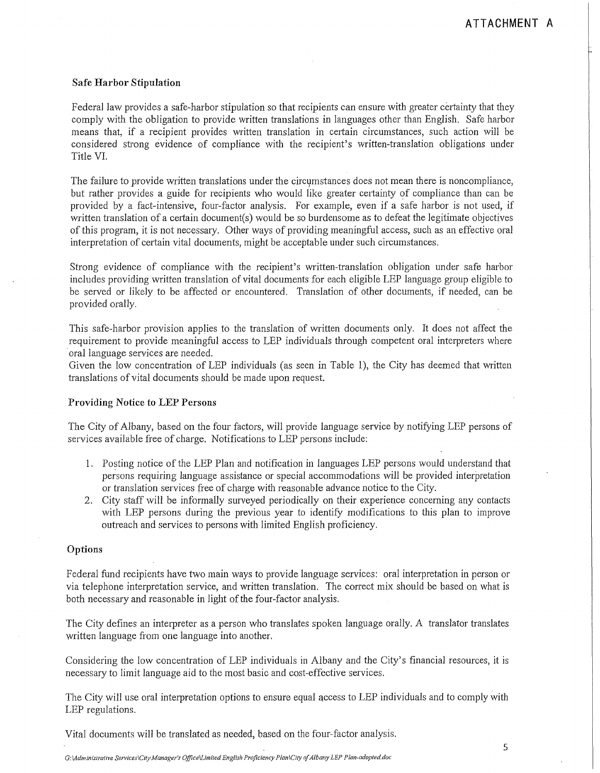#### **Safe Harbor Stipulation**

Federal law provides a safe-harbor stipulation so that recipients can ensure with greater certainty that they comply with the obligation to provide written translations in languages other than English. Safe harbor means that, if a recipient provides written translation in certain circumstances, such action will be considered strong evidence of compliance with the recipient's written-translation obligations under Title VI.

The failure to provide written translations under the circumstances does not mean there is noncompliance, but rather provides a guide for recipients who would like greater certainty of compliance than can be provided by a fact-intensive, four-factor analysis. For example, even if a safe harbor is not used, if written translation of a certain document(s) would be so burdensome as to defeat the legitimate objectives of this program, it is not necessary. Other ways of providing meaningful access, such as an effective oral interpretation of certain vital documents, might be acceptable under such circumstances.

Strong evidence of compliance with the recipient's written-translation obligation under safe harbor includes providing written translation of vital documents for each eligible LEP language group eligible to be served or likely to be affected or encountered. Translation of other documents, if needed, can be provided orally.

This safe-harbor provision applies to the translation of written documents only. It does not affect the requirement to provide meaningful access to LEP individuals through competent oral interpreters where oral language services are needed.

Given the low concentration of LEP individuals (as seen in Table 1), the City has deemed that written translations of vital documents should be made upon request.

#### **Providing Notice to LEP Persons**

The City of Albany, based on the four factors, will provide language service by notifying LEP persons of services available free of charge. Notifications to LEP persons include:

- 1. Posting notice of the LEP Plan and notification in languages LEP persons would understand that persons requiring language assistance or special accommodations will be provided interpretation or translation services free of charge with reasonable advance notice to the City.
- 2. City staff will be informally surveyed periodically on their experience concerning any contacts with LEP persons during the previous year to identify modifications to this plan to improve outreach and services to persons with limited English proficiency.

#### **Options**

Federal fund recipients have two main ways to provide language services: oral interpretation in person or via telephone interpretation service, and written translation. The correct mix should be based on what is both necessary and reasonable in light of the four-factor analysis.

The City defines an interpreter as a person who translates spoken language orally. A translator translates written language from one language into another.

Considering the low concentration of LEP individuals in Albany and the City's financial resources, it is necessary to limit language aid to the most basic and cost-effective services.

The City will use oral interpretation options to ensure equal qccess to LEP individuals and to comply with LEP regulations.

Vital documents will be translated as needed, based on the four-factor analysis.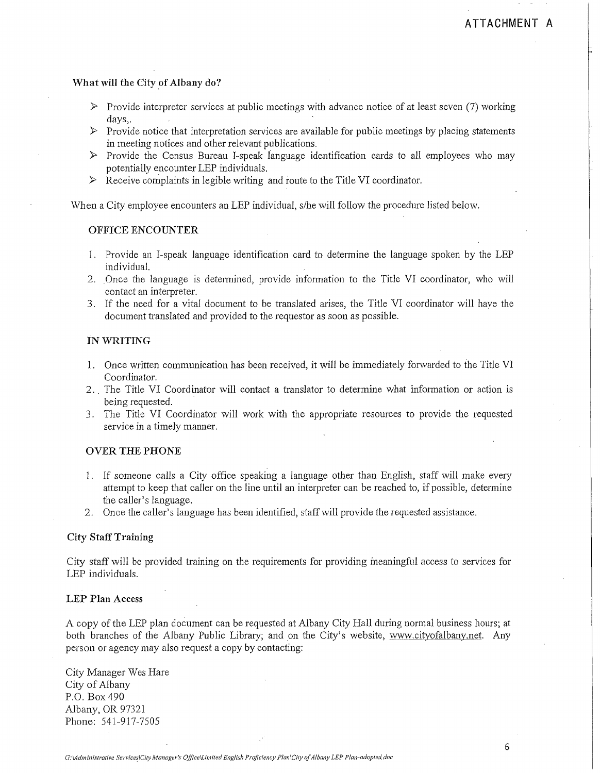#### What will the City of Albany do?

- $\triangleright$  Provide interpreter services at public meetings with advance notice of at least seven (7) working days,.
- $\triangleright$  Provide notice that interpretation services are available for public meetings by placing statements in meeting notices and other relevant publications.
- $\triangleright$  Provide the Census Bureau I-speak language identification cards to all employees who may potentially encounter LEP individuals.
- $\triangleright$  Receive complaints in legible writing and route to the Title VI coordinator.

When a City employee encounters an LEP individual, s/he will follow the procedure listed below.

#### OFFICE ENCOUNTER

- 1. Provide an I-speak language identification card to determine the language spoken by the LEP individual.
- 2 .. Once the language is determined, provide information to the Title VI coordinator, who will contact an interpreter.
- 3. If the need for a vital document to be translated arises, the Title VI coordinator will have the document translated and provided to the requestor as soon as possible.

#### IN WRITING

- 1. Once written communication has been received, it will be immediately forwarded to the Title VI Coordinator.
- 2 .. The Title VI Coordinator will contact a translator to determine what information or action is being requested.
- 3. The Title VI Coordinator will work with the appropriate resources to provide the requested service in a timely manner.

#### OVER THE PHONE

- 1. If someone calls a City office speaking a language other than English, staff will make every attempt to keep that caller on the line until an interpreter can be reached to, if possible, determine the caller's language.
- 2. Once the caller's language has been identified, staff will provide the requested assistance.

#### City Staff Training

City staff will be provided training on the requirements for providing ineaningful access to services for LEP individuals.

#### LEP Plan Access

A copy of the LEP plan document can be requested at Albany City Hall during normal business hours; at both branches of the Albany Public Library; and on the City's website, www.cityofalbany.net. Any person or agency may also request a copy by contacting:

City Manager Wes Hare City of Albany P.O. Box490 Albany, OR 97321 Phone: 541-917-7505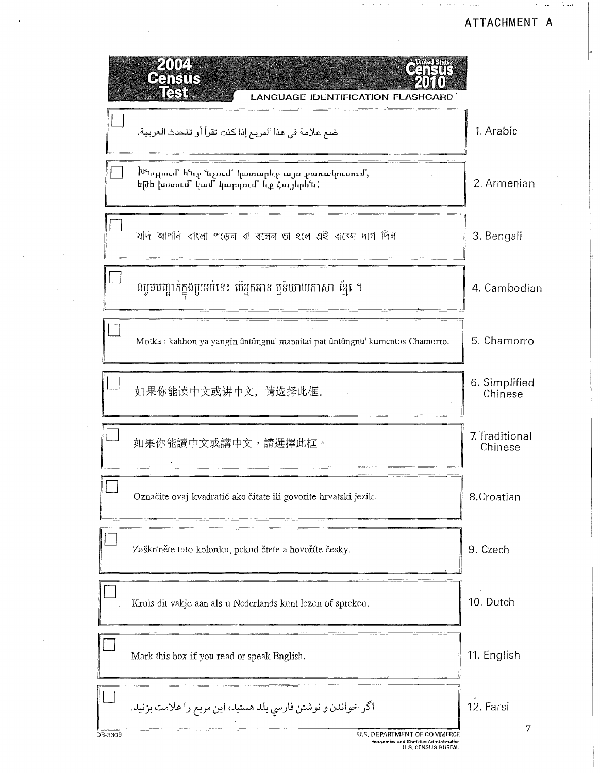**Contract Contract** 

 $\sim 100$  km  $^{-1}$ 

المحجم مداد والمدافعات والداما

 $\mathcal{L}$ 

| 1. Arabic                 |
|---------------------------|
| 2. Armenian               |
| 3. Bengali                |
| 4. Cambodian              |
| 5. Chamorro               |
| 6. Simplified<br>Chinese  |
| 7. Traditional<br>Chinese |
| 8.Croatian                |
| 9. Czech                  |
| 10. Dutch                 |
| 11. English               |
| 12. Farsi<br>7            |
|                           |

 $\epsilon$ 

 $\bar{\gamma}$  $\bar{z}$ 

 $\cdot$ 

 $\sim$  100  $\mu$  $\sim 100$  الجامع الحاربية المتحدث

 $\mathbf{r}$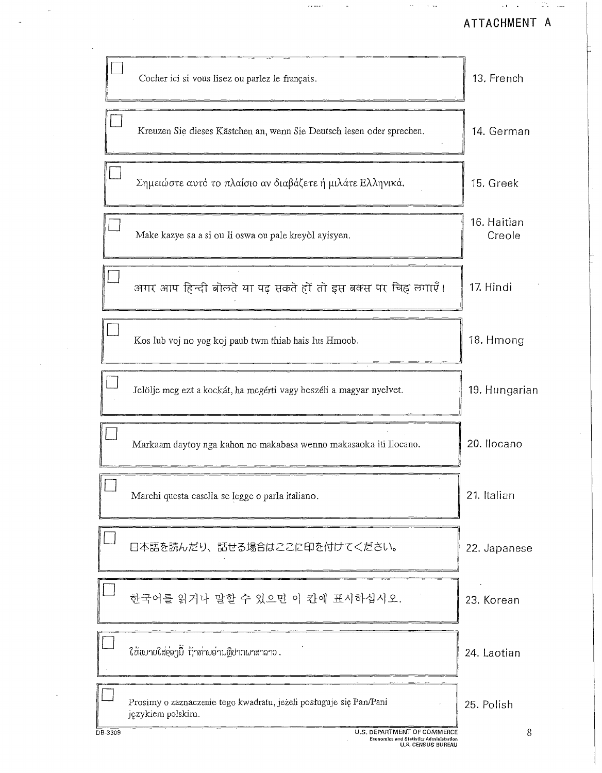مسوالوس المناوبات

|         | Cocher ici si vous lisez ou parlez le français.                                         | 13. French            |
|---------|-----------------------------------------------------------------------------------------|-----------------------|
|         | Kreuzen Sie dieses Kästchen an, wenn Sie Deutsch lesen oder sprechen.                   | 14. German            |
|         | Σημειώστε αυτό το πλαίσιο αν διαβάζετε ή μιλάτε Ελληνικά.                               | 15. Greek             |
|         | Make kazye sa a si ou li oswa ou pale kreyòl ayisyen.                                   | 16. Haitian<br>Creole |
|         | अगर आप हिन्दी बोलते या पढ़ सकते हों तो इस बक्स पर चिह्न लगाएँ।                          | 17. Hindi             |
|         | Kos lub voj no yog koj paub twm thiab hais lus Hmoob.                                   | 18. Hmong             |
|         | Jelölje meg ezt a kockát, ha megérti vagy beszéli a magyar nyelvet.                     | 19. Hungarian         |
|         | Markaam daytoy nga kahon no makabasa wenno makasaoka iti Ilocano.                       | 20. Ilocano           |
|         | Marchi questa casella se legge o parla italiano.                                        | 21. Italian           |
|         | 日本語を読んだり、話せる場合はここに印を付けてください。                                                            | 22. Japanese          |
|         | 한국어를 읽거나 말할 수 있으면 이 칸에 표시하십시오.                                                          | 23. Korean            |
|         | ี ใช้หมายใส่อุ่อาบี้ ก้าท่ามอ่ามຫຼືปากผาสาลาว .                                         | 24. Laotian           |
|         | Prosimy o zaznaczenie tego kwadratu, jeżeli posługuje się Pan/Pani<br>językiem polskim. | 25. Polish            |
| DB-3309 | U.S. DEPARTMENT OF COMMERCE                                                             | 8                     |

 $\rightarrow$  -  $\rightarrow$  -  $\rightarrow$ 

 $\sim$ 

 $\overline{a}$ 

 $\sim$   $\sim$ 

 $\sim$ 

 $\sim$  100  $\sim$  100  $\sim$ 

 $\bar{z}$ 

 $\sim$